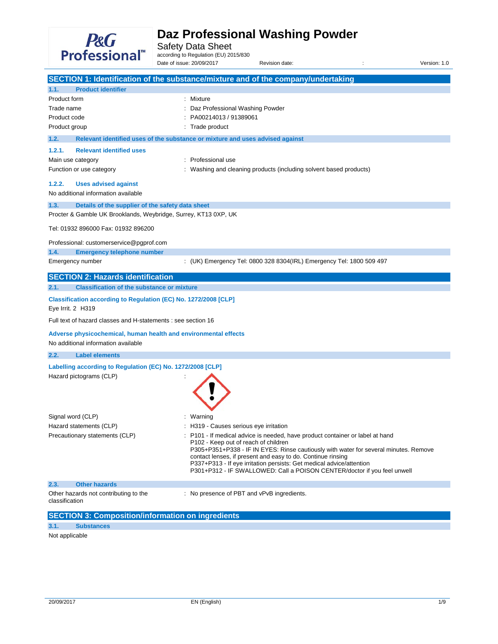

Safety Data Sheet<br>according to Regulation (EU) 2015/830

Date of issue: 20/09/2017 Revision date: <br>
Revision date:  $\frac{1}{2}$  Revision date:

|                                                             |                                                                                                                                   | SECTION 1: Identification of the substance/mixture and of the company/undertaking                                                                                                                                                                                                                                                                                                                                                                                                 |
|-------------------------------------------------------------|-----------------------------------------------------------------------------------------------------------------------------------|-----------------------------------------------------------------------------------------------------------------------------------------------------------------------------------------------------------------------------------------------------------------------------------------------------------------------------------------------------------------------------------------------------------------------------------------------------------------------------------|
| 1.1.                                                        | <b>Product identifier</b>                                                                                                         |                                                                                                                                                                                                                                                                                                                                                                                                                                                                                   |
| Product form<br>Trade name<br>Product code<br>Product group |                                                                                                                                   | : Mixture<br>Daz Professional Washing Powder<br>PA00214013 / 91389061<br>: Trade product                                                                                                                                                                                                                                                                                                                                                                                          |
| 1.2.                                                        |                                                                                                                                   | Relevant identified uses of the substance or mixture and uses advised against                                                                                                                                                                                                                                                                                                                                                                                                     |
| 1.2.1.<br>Main use category<br>1.2.2.                       | <b>Relevant identified uses</b><br>Function or use category<br><b>Uses advised against</b><br>No additional information available | : Professional use<br>: Washing and cleaning products (including solvent based products)                                                                                                                                                                                                                                                                                                                                                                                          |
| 1.3.                                                        | Details of the supplier of the safety data sheet                                                                                  |                                                                                                                                                                                                                                                                                                                                                                                                                                                                                   |
|                                                             | Procter & Gamble UK Brooklands, Weybridge, Surrey, KT13 0XP, UK                                                                   |                                                                                                                                                                                                                                                                                                                                                                                                                                                                                   |
|                                                             | Tel: 01932 896000 Fax: 01932 896200                                                                                               |                                                                                                                                                                                                                                                                                                                                                                                                                                                                                   |
|                                                             | Professional: customerservice@pgprof.com                                                                                          |                                                                                                                                                                                                                                                                                                                                                                                                                                                                                   |
| 1.4.                                                        | <b>Emergency telephone number</b>                                                                                                 |                                                                                                                                                                                                                                                                                                                                                                                                                                                                                   |
| Emergency number                                            |                                                                                                                                   | : (UK) Emergency Tel: 0800 328 8304(IRL) Emergency Tel: 1800 509 497                                                                                                                                                                                                                                                                                                                                                                                                              |
|                                                             | <b>SECTION 2: Hazards identification</b>                                                                                          |                                                                                                                                                                                                                                                                                                                                                                                                                                                                                   |
| 2.1.                                                        | <b>Classification of the substance or mixture</b>                                                                                 |                                                                                                                                                                                                                                                                                                                                                                                                                                                                                   |
| Eye Irrit. 2 H319                                           | Classification according to Regulation (EC) No. 1272/2008 [CLP]                                                                   |                                                                                                                                                                                                                                                                                                                                                                                                                                                                                   |
|                                                             | Full text of hazard classes and H-statements : see section 16                                                                     |                                                                                                                                                                                                                                                                                                                                                                                                                                                                                   |
|                                                             | Adverse physicochemical, human health and environmental effects<br>No additional information available                            |                                                                                                                                                                                                                                                                                                                                                                                                                                                                                   |
| 2.2.                                                        | <b>Label elements</b>                                                                                                             |                                                                                                                                                                                                                                                                                                                                                                                                                                                                                   |
|                                                             | Labelling according to Regulation (EC) No. 1272/2008 [CLP]<br>Hazard pictograms (CLP)                                             |                                                                                                                                                                                                                                                                                                                                                                                                                                                                                   |
| Signal word (CLP)                                           | Hazard statements (CLP)<br>Precautionary statements (CLP)                                                                         | Warning<br>H319 - Causes serious eye irritation<br>P101 - If medical advice is needed, have product container or label at hand<br>P102 - Keep out of reach of children<br>P305+P351+P338 - IF IN EYES: Rinse cautiously with water for several minutes. Remove<br>contact lenses, if present and easy to do. Continue rinsing<br>P337+P313 - If eye irritation persists: Get medical advice/attention<br>P301+P312 - IF SWALLOWED: Call a POISON CENTER/doctor if you feel unwell |
| 2.3.                                                        | <b>Other hazards</b>                                                                                                              |                                                                                                                                                                                                                                                                                                                                                                                                                                                                                   |
| classification                                              | Other hazards not contributing to the                                                                                             | : No presence of PBT and vPvB ingredients.                                                                                                                                                                                                                                                                                                                                                                                                                                        |
|                                                             | <b>SECTION 3: Composition/information on ingredients</b>                                                                          |                                                                                                                                                                                                                                                                                                                                                                                                                                                                                   |
| 3.1.                                                        | <b>Substances</b>                                                                                                                 |                                                                                                                                                                                                                                                                                                                                                                                                                                                                                   |

Not applicable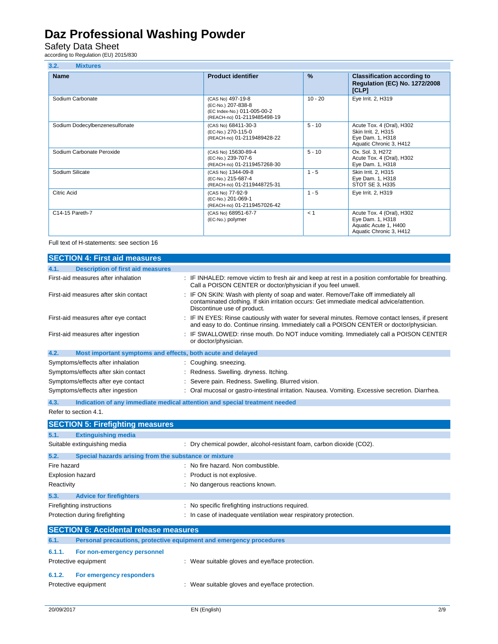### Safety Data Sheet<br>according to Regulation (EU) 2015/830

| 3.2.<br><b>Mixtures</b>        |                                                                                                       |               |                                                                                                   |
|--------------------------------|-------------------------------------------------------------------------------------------------------|---------------|---------------------------------------------------------------------------------------------------|
| <b>Name</b>                    | <b>Product identifier</b>                                                                             | $\frac{9}{6}$ | <b>Classification according to</b><br><b>Regulation (EC) No. 1272/2008</b><br>[CLP]               |
| Sodium Carbonate               | (CAS No) 497-19-8<br>(EC-No.) 207-838-8<br>(EC Index-No.) 011-005-00-2<br>(REACH-no) 01-2119485498-19 | $10 - 20$     | Eye Irrit. 2, H319                                                                                |
| Sodium Dodecylbenzenesulfonate | (CAS No) 68411-30-3<br>(EC-No.) 270-115-0<br>(REACH-no) 01-2119489428-22                              | $5 - 10$      | Acute Tox. 4 (Oral), H302<br>Skin Irrit. 2, H315<br>Eye Dam. 1, H318<br>Aquatic Chronic 3, H412   |
| Sodium Carbonate Peroxide      | (CAS No) 15630-89-4<br>(EC-No.) 239-707-6<br>(REACH-no) 01-2119457268-30                              | $5 - 10$      | Ox. Sol. 3, H272<br>Acute Tox. 4 (Oral), H302<br>Eye Dam. 1, H318                                 |
| Sodium Silicate                | (CAS No) 1344-09-8<br>(EC-No.) 215-687-4<br>(REACH-no) 01-2119448725-31                               | $1 - 5$       | Skin Irrit. 2, H315<br>Eye Dam. 1, H318<br>STOT SE 3, H335                                        |
| Citric Acid                    | (CAS No) 77-92-9<br>(EC-No.) 201-069-1<br>(REACH-no) 01-2119457026-42                                 | $1 - 5$       | Eye Irrit. 2, H319                                                                                |
| C14-15 Pareth-7                | (CAS No) 68951-67-7<br>(EC-No.) polymer                                                               | < 1           | Acute Tox. 4 (Oral), H302<br>Eye Dam. 1, H318<br>Aquatic Acute 1, H400<br>Aquatic Chronic 3, H412 |

Full text of H-statements: see section 16

| <b>SECTION 4: First aid measures</b>                                |                                                                                                                                                                                                               |  |
|---------------------------------------------------------------------|---------------------------------------------------------------------------------------------------------------------------------------------------------------------------------------------------------------|--|
| <b>Description of first aid measures</b><br>4.1.                    |                                                                                                                                                                                                               |  |
| First-aid measures after inhalation                                 | : IF INHALED: remove victim to fresh air and keep at rest in a position comfortable for breathing.<br>Call a POISON CENTER or doctor/physician if you feel unwell.                                            |  |
| First-aid measures after skin contact                               | : IF ON SKIN: Wash with plenty of soap and water. Remove/Take off immediately all<br>contaminated clothing. If skin irritation occurs: Get immediate medical advice/attention.<br>Discontinue use of product. |  |
| First-aid measures after eye contact                                | : IF IN EYES: Rinse cautiously with water for several minutes. Remove contact lenses, if present<br>and easy to do. Continue rinsing. Immediately call a POISON CENTER or doctor/physician.                   |  |
| First-aid measures after ingestion                                  | : IF SWALLOWED: rinse mouth. Do NOT induce vomiting. Immediately call a POISON CENTER<br>or doctor/physician.                                                                                                 |  |
| 4.2.<br>Most important symptoms and effects, both acute and delayed |                                                                                                                                                                                                               |  |
| Symptoms/effects after inhalation                                   | : Coughing. sneezing.                                                                                                                                                                                         |  |
| Symptoms/effects after skin contact                                 | : Redness. Swelling. dryness. Itching.                                                                                                                                                                        |  |
| Symptoms/effects after eye contact                                  | : Severe pain. Redness. Swelling. Blurred vision.                                                                                                                                                             |  |
| Symptoms/effects after ingestion                                    | : Oral mucosal or gastro-intestinal irritation. Nausea. Vomiting. Excessive secretion. Diarrhea.                                                                                                              |  |
| 4.3.                                                                | Indication of any immediate medical attention and special treatment needed                                                                                                                                    |  |
|                                                                     |                                                                                                                                                                                                               |  |

Refer to section 4.1.

|                                               | <b>SECTION 5: Firefighting measures</b>                             |                                                                      |  |  |  |
|-----------------------------------------------|---------------------------------------------------------------------|----------------------------------------------------------------------|--|--|--|
| 5.1.                                          | <b>Extinguishing media</b>                                          |                                                                      |  |  |  |
|                                               | Suitable extinguishing media                                        | : Dry chemical powder, alcohol-resistant foam, carbon dioxide (CO2). |  |  |  |
| 5.2.                                          | Special hazards arising from the substance or mixture               |                                                                      |  |  |  |
| Fire hazard                                   |                                                                     | : No fire hazard. Non combustible.                                   |  |  |  |
| <b>Explosion hazard</b>                       |                                                                     | : Product is not explosive.                                          |  |  |  |
| Reactivity                                    |                                                                     | No dangerous reactions known.                                        |  |  |  |
| 5.3.                                          | <b>Advice for firefighters</b>                                      |                                                                      |  |  |  |
| Firefighting instructions                     |                                                                     | No specific firefighting instructions required.                      |  |  |  |
| Protection during firefighting                |                                                                     | : In case of inadequate ventilation wear respiratory protection.     |  |  |  |
| <b>SECTION 6: Accidental release measures</b> |                                                                     |                                                                      |  |  |  |
| 6.1.                                          | Personal precautions, protective equipment and emergency procedures |                                                                      |  |  |  |

| 6.1.1.<br>For non-emergency personnel |                                                 |  |
|---------------------------------------|-------------------------------------------------|--|
| Protective equipment                  | : Wear suitable gloves and eye/face protection. |  |
| For emergency responders<br>6.1.2.    |                                                 |  |
| Protective equipment                  | : Wear suitable gloves and eye/face protection. |  |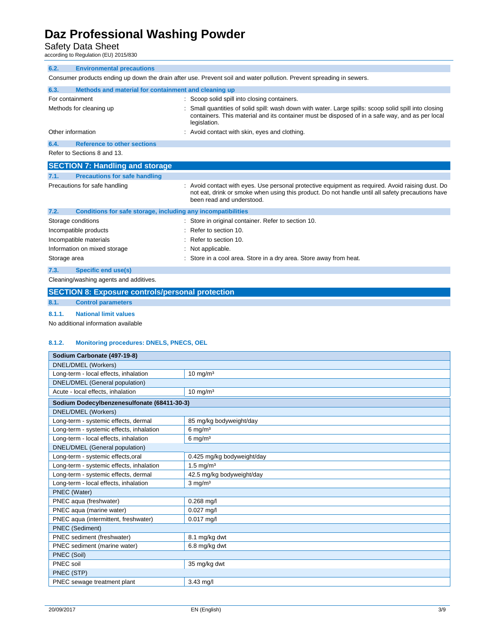Safety Data Sheet<br>according to Regulation (EU) 2015/830

| <b>Environmental precautions</b><br>6.2.                                                                             |                                                                                                                                                                                                                                   |  |  |  |
|----------------------------------------------------------------------------------------------------------------------|-----------------------------------------------------------------------------------------------------------------------------------------------------------------------------------------------------------------------------------|--|--|--|
| Consumer products ending up down the drain after use. Prevent soil and water pollution. Prevent spreading in sewers. |                                                                                                                                                                                                                                   |  |  |  |
| 6.3.                                                                                                                 | Methods and material for containment and cleaning up                                                                                                                                                                              |  |  |  |
| For containment                                                                                                      | : Scoop solid spill into closing containers.                                                                                                                                                                                      |  |  |  |
| Methods for cleaning up                                                                                              | Small quantities of solid spill: wash down with water. Large spills: scoop solid spill into closing<br>containers. This material and its container must be disposed of in a safe way, and as per local<br>legislation.            |  |  |  |
| Other information                                                                                                    | : Avoid contact with skin, eyes and clothing.                                                                                                                                                                                     |  |  |  |
| <b>Reference to other sections</b><br>6.4.                                                                           |                                                                                                                                                                                                                                   |  |  |  |
| Refer to Sections 8 and 13.                                                                                          |                                                                                                                                                                                                                                   |  |  |  |
| <b>SECTION 7: Handling and storage</b>                                                                               |                                                                                                                                                                                                                                   |  |  |  |
| <b>Precautions for safe handling</b><br>7.1.                                                                         |                                                                                                                                                                                                                                   |  |  |  |
| Precautions for safe handling                                                                                        | : Avoid contact with eyes. Use personal protective equipment as required. Avoid raising dust. Do<br>not eat, drink or smoke when using this product. Do not handle until all safety precautions have<br>been read and understood. |  |  |  |
| Conditions for safe storage, including any incompatibilities<br>7.2.                                                 |                                                                                                                                                                                                                                   |  |  |  |
| Storage conditions                                                                                                   | : Store in original container. Refer to section 10.                                                                                                                                                                               |  |  |  |
| Incompatible products                                                                                                | Refer to section 10.                                                                                                                                                                                                              |  |  |  |
| Incompatible materials                                                                                               | Refer to section 10.                                                                                                                                                                                                              |  |  |  |
| Information on mixed storage                                                                                         | : Not applicable.                                                                                                                                                                                                                 |  |  |  |
| Storage area                                                                                                         | : Store in a cool area. Store in a dry area. Store away from heat.                                                                                                                                                                |  |  |  |
| 7.3.<br>Specific end use(s)                                                                                          |                                                                                                                                                                                                                                   |  |  |  |
| Cleaning/washing agents and additives.                                                                               |                                                                                                                                                                                                                                   |  |  |  |
| <b>SECTION 8: Exposure controls/personal protection</b>                                                              |                                                                                                                                                                                                                                   |  |  |  |

### **8.1. Control parameters**

**8.1.1. National limit values** 

No additional information available

#### **8.1.2. Monitoring procedures: DNELS, PNECS, OEL**

| Sodium Carbonate (497-19-8)                 |                            |  |
|---------------------------------------------|----------------------------|--|
| DNEL/DMEL (Workers)                         |                            |  |
| Long-term - local effects, inhalation       | $10 \text{ mg/m}^3$        |  |
| DNEL/DMEL (General population)              |                            |  |
| Acute - local effects, inhalation           | $10 \text{ mg/m}^3$        |  |
| Sodium Dodecylbenzenesulfonate (68411-30-3) |                            |  |
| DNEL/DMEL (Workers)                         |                            |  |
| Long-term - systemic effects, dermal        | 85 mg/kg bodyweight/day    |  |
| Long-term - systemic effects, inhalation    | $6 \text{ mg/m}^3$         |  |
| Long-term - local effects, inhalation       | 6 mg/ $m3$                 |  |
| DNEL/DMEL (General population)              |                            |  |
| Long-term - systemic effects, oral          | 0.425 mg/kg bodyweight/day |  |
| Long-term - systemic effects, inhalation    | $1.5 \text{ mg/m}^3$       |  |
| Long-term - systemic effects, dermal        | 42.5 mg/kg bodyweight/day  |  |
| Long-term - local effects, inhalation       | $3$ mg/m <sup>3</sup>      |  |
| PNEC (Water)                                |                            |  |
| PNEC aqua (freshwater)                      | $0.268$ mg/l               |  |
| PNEC aqua (marine water)                    | $0.027$ mg/l               |  |
| PNEC aqua (intermittent, freshwater)        | 0.017 mg/l                 |  |
| <b>PNEC</b> (Sediment)                      |                            |  |
| PNEC sediment (freshwater)                  | 8.1 mg/kg dwt              |  |
| PNEC sediment (marine water)                | 6.8 mg/kg dwt              |  |
| PNEC (Soil)                                 |                            |  |
| PNEC soil                                   | 35 mg/kg dwt               |  |
| PNEC (STP)                                  |                            |  |
| PNEC sewage treatment plant                 | $3.43$ mg/l                |  |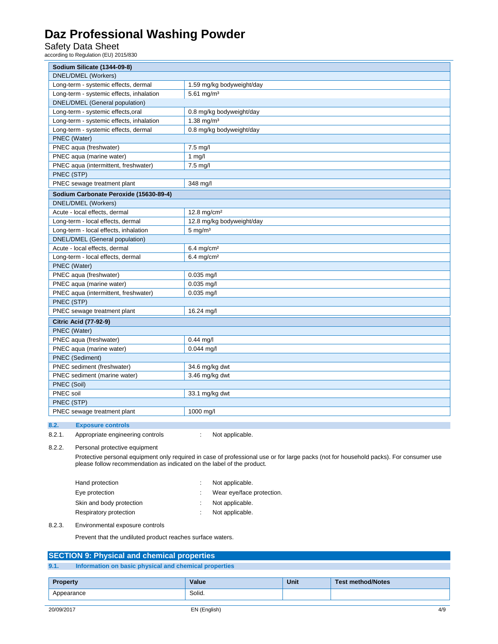## Safety Data Sheet<br>according to Regulation (EU) 2015/830

| Sodium Silicate (1344-09-8)              |                           |  |
|------------------------------------------|---------------------------|--|
| DNEL/DMEL (Workers)                      |                           |  |
| Long-term - systemic effects, dermal     | 1.59 mg/kg bodyweight/day |  |
| Long-term - systemic effects, inhalation | 5.61 mg/m <sup>3</sup>    |  |
| DNEL/DMEL (General population)           |                           |  |
| Long-term - systemic effects, oral       | 0.8 mg/kg bodyweight/day  |  |
| Long-term - systemic effects, inhalation | $1.38 \text{ mg/m}^3$     |  |
| Long-term - systemic effects, dermal     | 0.8 mg/kg bodyweight/day  |  |
| PNEC (Water)                             |                           |  |
| PNEC aqua (freshwater)                   | 7.5 mg/l                  |  |
| PNEC aqua (marine water)                 | $1$ mg/l                  |  |
| PNEC aqua (intermittent, freshwater)     | 7.5 mg/l                  |  |
| PNEC (STP)                               |                           |  |
| PNEC sewage treatment plant              | 348 mg/l                  |  |
| Sodium Carbonate Peroxide (15630-89-4)   |                           |  |
| DNEL/DMEL (Workers)                      |                           |  |
| Acute - local effects, dermal            | $12.8$ mg/cm <sup>2</sup> |  |
| Long-term - local effects, dermal        | 12.8 mg/kg bodyweight/day |  |
| Long-term - local effects, inhalation    | $5 \text{ mg/m}^3$        |  |
| DNEL/DMEL (General population)           |                           |  |
| Acute - local effects, dermal            | $6.4$ mg/cm <sup>2</sup>  |  |
| Long-term - local effects, dermal        | $6.4$ mg/cm <sup>2</sup>  |  |
| PNEC (Water)                             |                           |  |
| PNEC aqua (freshwater)                   | $0.035$ mg/l              |  |
| PNEC aqua (marine water)                 | $0.035$ mg/l              |  |
| PNEC aqua (intermittent, freshwater)     | $0.035$ mg/l              |  |
| PNEC (STP)                               |                           |  |
| PNEC sewage treatment plant              | 16.24 mg/l                |  |
| <b>Citric Acid (77-92-9)</b>             |                           |  |
| PNEC (Water)                             |                           |  |
| PNEC aqua (freshwater)                   | $0.44$ mg/l               |  |
| PNEC aqua (marine water)                 | $0.044$ mg/l              |  |
| PNEC (Sediment)                          |                           |  |
| PNEC sediment (freshwater)               | 34.6 mg/kg dwt            |  |
| PNEC sediment (marine water)             | 3.46 mg/kg dwt            |  |
| PNEC (Soil)                              |                           |  |
| PNEC soil                                | 33.1 mg/kg dwt            |  |
| PNEC (STP)                               |                           |  |
| PNEC sewage treatment plant              | 1000 mg/l                 |  |
|                                          |                           |  |

#### **8.2. Exposure controls**

8.2.1. Appropriate engineering controls : Not applicable.

8.2.2. Personal protective equipment

 Protective personal equipment only required in case of professional use or for large packs (not for household packs). For consumer use please follow recommendation as indicated on the label of the product.

| Hand protection          | Not applicable.           |
|--------------------------|---------------------------|
| Eye protection           | Wear eye/face protection. |
| Skin and body protection | Not applicable.           |
| Respiratory protection   | Not applicable.           |

8.2.3. Environmental exposure controls

Prevent that the undiluted product reaches surface waters.

#### **SECTION 9: Physical and chemical properties**

#### **9.1. Information on basic physical and chemical properties**

| Property   | Value  | <b>Unit</b> | <b>Test method/Notes</b> |
|------------|--------|-------------|--------------------------|
| Appearance | Solid. |             |                          |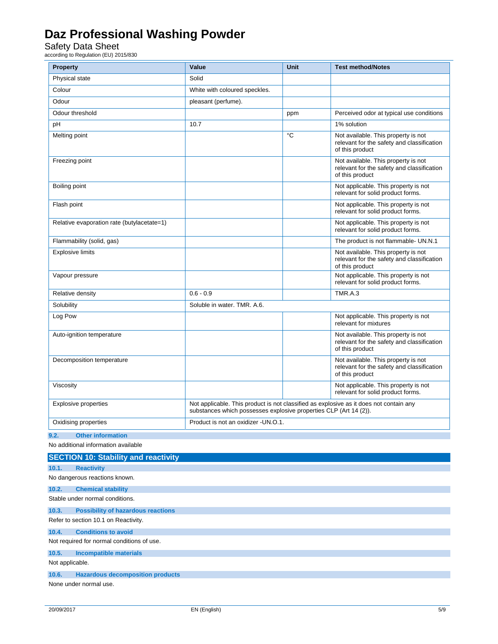Safety Data Sheet<br>according to Regulation (EU) 2015/830

| <b>Property</b>                                                                   | Value                                                                                                                                                       | <b>Unit</b> | <b>Test method/Notes</b>                                                                             |
|-----------------------------------------------------------------------------------|-------------------------------------------------------------------------------------------------------------------------------------------------------------|-------------|------------------------------------------------------------------------------------------------------|
| Physical state                                                                    | Solid                                                                                                                                                       |             |                                                                                                      |
| Colour                                                                            | White with coloured speckles.                                                                                                                               |             |                                                                                                      |
| Odour                                                                             | pleasant (perfume).                                                                                                                                         |             |                                                                                                      |
| Odour threshold                                                                   |                                                                                                                                                             | ppm         | Perceived odor at typical use conditions                                                             |
| рH                                                                                | 10.7                                                                                                                                                        |             | 1% solution                                                                                          |
| Melting point                                                                     |                                                                                                                                                             | °C          | Not available. This property is not<br>relevant for the safety and classification<br>of this product |
| Freezing point                                                                    |                                                                                                                                                             |             | Not available. This property is not<br>relevant for the safety and classification<br>of this product |
| Boiling point                                                                     |                                                                                                                                                             |             | Not applicable. This property is not<br>relevant for solid product forms.                            |
| Flash point                                                                       |                                                                                                                                                             |             | Not applicable. This property is not<br>relevant for solid product forms.                            |
| Relative evaporation rate (butylacetate=1)                                        |                                                                                                                                                             |             | Not applicable. This property is not<br>relevant for solid product forms.                            |
| Flammability (solid, gas)                                                         |                                                                                                                                                             |             | The product is not flammable- UN.N.1                                                                 |
| <b>Explosive limits</b>                                                           |                                                                                                                                                             |             | Not available. This property is not<br>relevant for the safety and classification<br>of this product |
| Vapour pressure                                                                   |                                                                                                                                                             |             | Not applicable. This property is not<br>relevant for solid product forms.                            |
| Relative density                                                                  | $0.6 - 0.9$                                                                                                                                                 |             | TMR.A.3                                                                                              |
| Solubility                                                                        | Soluble in water. TMR. A.6.                                                                                                                                 |             |                                                                                                      |
| Log Pow                                                                           |                                                                                                                                                             |             | Not applicable. This property is not<br>relevant for mixtures                                        |
| Auto-ignition temperature                                                         |                                                                                                                                                             |             | Not available. This property is not<br>relevant for the safety and classification<br>of this product |
| Decomposition temperature                                                         |                                                                                                                                                             |             | Not available. This property is not<br>relevant for the safety and classification<br>of this product |
| Viscosity                                                                         |                                                                                                                                                             |             | Not applicable. This property is not<br>relevant for solid product forms.                            |
| <b>Explosive properties</b>                                                       | Not applicable. This product is not classified as explosive as it does not contain any<br>substances which possesses explosive properties CLP (Art 14 (2)). |             |                                                                                                      |
| Oxidising properties                                                              | Product is not an oxidizer -UN.O.1.                                                                                                                         |             |                                                                                                      |
| <b>Other information</b><br>9.2.                                                  |                                                                                                                                                             |             |                                                                                                      |
| No additional information available                                               |                                                                                                                                                             |             |                                                                                                      |
| <b>SECTION 10: Stability and reactivity</b>                                       |                                                                                                                                                             |             |                                                                                                      |
| 10.1.<br><b>Reactivity</b>                                                        |                                                                                                                                                             |             |                                                                                                      |
| No dangerous reactions known.                                                     |                                                                                                                                                             |             |                                                                                                      |
| 10.2.<br><b>Chemical stability</b>                                                |                                                                                                                                                             |             |                                                                                                      |
| Stable under normal conditions.                                                   |                                                                                                                                                             |             |                                                                                                      |
| 10.3.<br><b>Possibility of hazardous reactions</b>                                |                                                                                                                                                             |             |                                                                                                      |
| Refer to section 10.1 on Reactivity.                                              |                                                                                                                                                             |             |                                                                                                      |
| <b>Conditions to avoid</b><br>10.4.<br>Not required for normal conditions of use. |                                                                                                                                                             |             |                                                                                                      |
| 10.5.<br><b>Incompatible materials</b>                                            |                                                                                                                                                             |             |                                                                                                      |
| Not applicable.                                                                   |                                                                                                                                                             |             |                                                                                                      |
| 10.6.<br><b>Hazardous decomposition products</b>                                  |                                                                                                                                                             |             |                                                                                                      |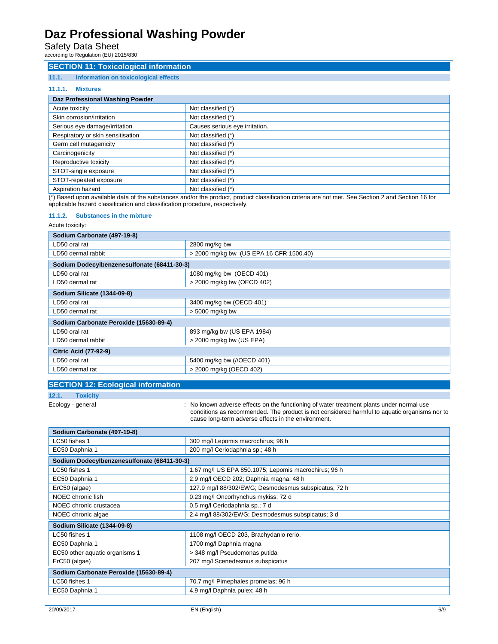Safety Data Sheet<br>according to Regulation (EU) 2015/830

#### **SECTION 11: Toxicological information**

#### **11.1. Information on toxicological effects**

#### **11.1.1. Mixtures**

| Daz Professional Washing Powder   |                                |  |
|-----------------------------------|--------------------------------|--|
| Acute toxicity                    | Not classified (*)             |  |
| Skin corrosion/irritation         | Not classified (*)             |  |
| Serious eye damage/irritation     | Causes serious eye irritation. |  |
| Respiratory or skin sensitisation | Not classified (*)             |  |
| Germ cell mutagenicity            | Not classified (*)             |  |
| Carcinogenicity                   | Not classified (*)             |  |
| Reproductive toxicity             | Not classified (*)             |  |
| STOT-single exposure              | Not classified (*)             |  |
| STOT-repeated exposure            | Not classified (*)             |  |
| Aspiration hazard                 | Not classified (*)             |  |

(\*) Based upon available data of the substances and/or the product, product classification criteria are not met. See Section 2 and Section 16 for applicable hazard classification and classification procedure, respectively.

#### **11.1.2. Substances in the mixture**

#### Acute toxicity:

| Sodium Carbonate (497-19-8)                 |                                         |
|---------------------------------------------|-----------------------------------------|
| LD50 oral rat                               | 2800 mg/kg bw                           |
| LD50 dermal rabbit                          | > 2000 mg/kg bw (US EPA 16 CFR 1500.40) |
| Sodium Dodecylbenzenesulfonate (68411-30-3) |                                         |
| LD50 oral rat                               | 1080 mg/kg bw (OECD 401)                |
| LD50 dermal rat                             | > 2000 mg/kg bw (OECD 402)              |
| Sodium Silicate (1344-09-8)                 |                                         |
| LD50 oral rat                               | 3400 mg/kg bw (OECD 401)                |
| LD50 dermal rat                             | > 5000 mg/kg bw                         |
| Sodium Carbonate Peroxide (15630-89-4)      |                                         |
| LD50 oral rat                               | 893 mg/kg bw (US EPA 1984)              |
| LD50 dermal rabbit                          | > 2000 mg/kg bw (US EPA)                |
| <b>Citric Acid (77-92-9)</b>                |                                         |
| LD50 oral rat                               | 5400 mg/kg bw (//OECD 401)              |
| LD50 dermal rat                             | > 2000 mg/kg (OECD 402)                 |
|                                             |                                         |

#### **SECTION 12: Ecological information**

Ecology - general **interpretational intervals on the functioning** of water treatment plants under normal use conditions as recommended. The product is not considered harmful to aquatic organisms nor to cause long-term adverse effects in the environment.

| Sodium Carbonate (497-19-8)                 |                                                      |
|---------------------------------------------|------------------------------------------------------|
| LC50 fishes 1                               | 300 mg/l Lepomis macrochirus; 96 h                   |
| EC50 Daphnia 1                              | 200 mg/l Ceriodaphnia sp.; 48 h                      |
| Sodium Dodecylbenzenesulfonate (68411-30-3) |                                                      |
| LC50 fishes 1                               | 1.67 mg/l US EPA 850.1075; Lepomis macrochirus; 96 h |
| EC50 Daphnia 1                              | 2.9 mg/l OECD 202; Daphnia magna; 48 h               |
| ErC50 (algae)                               | 127.9 mg/l 88/302/EWG; Desmodesmus subspicatus; 72 h |
| NOEC chronic fish                           | 0.23 mg/l Oncorhynchus mykiss; 72 d                  |
| NOEC chronic crustacea                      | 0.5 mg/l Ceriodaphnia sp.; 7 d                       |
| NOEC chronic algae                          | 2.4 mg/l 88/302/EWG; Desmodesmus subspicatus; 3 d    |
| Sodium Silicate (1344-09-8)                 |                                                      |
| LC50 fishes 1                               | 1108 mg/l OECD 203, Brachydanio rerio,               |
| EC50 Daphnia 1                              | 1700 mg/l Daphnia magna                              |
| EC50 other aquatic organisms 1              | > 348 mg/l Pseudomonas putida                        |
| ErC50 (algae)                               | 207 mg/l Scenedesmus subspicatus                     |
| Sodium Carbonate Peroxide (15630-89-4)      |                                                      |
| LC50 fishes 1                               | 70.7 mg/l Pimephales promelas; 96 h                  |
| EC50 Daphnia 1                              | 4.9 mg/l Daphnia pulex; 48 h                         |

**<sup>12.1.</sup> Toxicity**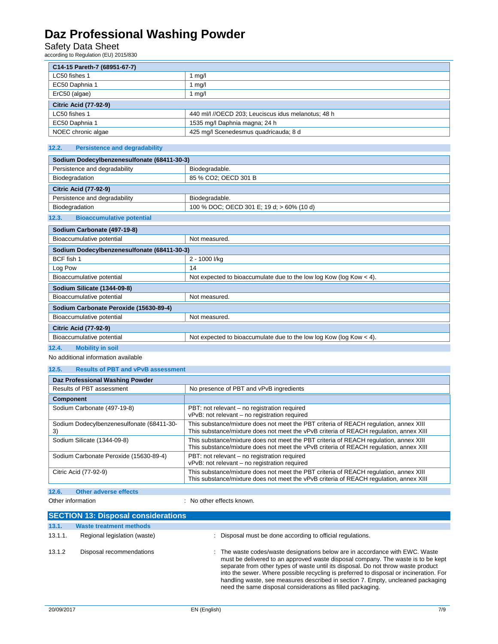### Safety Data Sheet<br>according to Regulation (EU) 2015/830

| C14-15 Pareth-7 (68951-67-7) |                                                     |
|------------------------------|-----------------------------------------------------|
| LC50 fishes 1                | mq/l                                                |
| EC50 Daphnia 1               | mg/l                                                |
| ErC50 (algae)                | mq/l                                                |
| <b>Citric Acid (77-92-9)</b> |                                                     |
| LC50 fishes 1                | 440 ml/l //OECD 203; Leuciscus idus melanotus; 48 h |
| EC50 Daphnia 1               | 1535 mg/l Daphnia magna; 24 h                       |
| NOEC chronic algae           | 425 mg/l Scenedesmus quadricauda; 8 d               |

| <b>Persistence and degradability</b><br>12.2. |                                                                       |
|-----------------------------------------------|-----------------------------------------------------------------------|
| Sodium Dodecylbenzenesulfonate (68411-30-3)   |                                                                       |
| Persistence and degradability                 | Biodegradable.                                                        |
| Biodegradation                                | 85 % CO2; OECD 301 B                                                  |
| <b>Citric Acid (77-92-9)</b>                  |                                                                       |
| Persistence and degradability                 | Biodegradable.                                                        |
| Biodegradation                                | 100 % DOC; OECD 301 E; 19 d; > 60% (10 d)                             |
| 12.3.<br><b>Bioaccumulative potential</b>     |                                                                       |
| Sodium Carbonate (497-19-8)                   |                                                                       |
| Bioaccumulative potential                     | Not measured.                                                         |
| Sodium Dodecylbenzenesulfonate (68411-30-3)   |                                                                       |
| BCF fish 1                                    | 2 - 1000 l/kg                                                         |
| Log Pow                                       | 14                                                                    |
| Bioaccumulative potential                     | Not expected to bioaccumulate due to the low log Kow (log Kow $<$ 4). |
| Sodium Silicate (1344-09-8)                   |                                                                       |
| Bioaccumulative potential                     | Not measured.                                                         |
| Sodium Carbonate Peroxide (15630-89-4)        |                                                                       |
| Bioaccumulative potential                     | Not measured.                                                         |
| <b>Citric Acid (77-92-9)</b>                  |                                                                       |
| Bioaccumulative potential                     | Not expected to bioaccumulate due to the low log Kow (log Kow $<$ 4). |
| 12.4.<br><b>Mobility in soil</b>              |                                                                       |

No additional information available

#### **12.5. Results of PBT and vPvB assessment**

| Daz Professional Washing Powder                 |                                                                                                                                                                                 |
|-------------------------------------------------|---------------------------------------------------------------------------------------------------------------------------------------------------------------------------------|
| Results of PBT assessment                       | No presence of PBT and vPvB ingredients                                                                                                                                         |
| Component                                       |                                                                                                                                                                                 |
| Sodium Carbonate (497-19-8)                     | PBT: not relevant - no registration required<br>vPvB: not relevant - no registration required                                                                                   |
| Sodium Dodecylbenzenesulfonate (68411-30-<br>3) | This substance/mixture does not meet the PBT criteria of REACH regulation, annex XIII<br>This substance/mixture does not meet the vPvB criteria of REACH regulation, annex XIII |
| Sodium Silicate (1344-09-8)                     | This substance/mixture does not meet the PBT criteria of REACH regulation, annex XIII<br>This substance/mixture does not meet the vPvB criteria of REACH regulation, annex XIII |
| Sodium Carbonate Peroxide (15630-89-4)          | PBT: not relevant – no registration required<br>vPvB: not relevant - no registration required                                                                                   |
| Citric Acid (77-92-9)                           | This substance/mixture does not meet the PBT criteria of REACH regulation, annex XIII<br>This substance/mixture does not meet the vPvB criteria of REACH regulation, annex XIII |

| 12.6. | Other adverse effects |  |
|-------|-----------------------|--|
|       |                       |  |

Other information  $\qquad \qquad :$  No other effects known.

|         | <b>SECTION 13: Disposal considerations</b> |                                                                                                                                                                                                                                                                                                                                                                                                                                                                                                  |
|---------|--------------------------------------------|--------------------------------------------------------------------------------------------------------------------------------------------------------------------------------------------------------------------------------------------------------------------------------------------------------------------------------------------------------------------------------------------------------------------------------------------------------------------------------------------------|
| 13.1.   | <b>Waste treatment methods</b>             |                                                                                                                                                                                                                                                                                                                                                                                                                                                                                                  |
| 13.1.1. | Regional legislation (waste)               | : Disposal must be done according to official regulations.                                                                                                                                                                                                                                                                                                                                                                                                                                       |
| 13.1.2  | Disposal recommendations                   | : The waste codes/waste designations below are in accordance with EWC. Waste<br>must be delivered to an approved waste disposal company. The waste is to be kept<br>separate from other types of waste until its disposal. Do not throw waste product<br>into the sewer. Where possible recycling is preferred to disposal or incineration. For<br>handling waste, see measures described in section 7. Empty, uncleaned packaging<br>need the same disposal considerations as filled packaging. |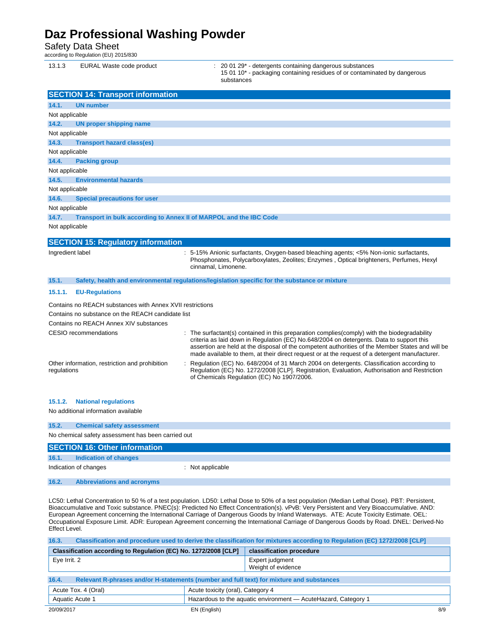Safety Data Sheet<br>according to Regulation (EU) 2015/830

| 13.1.3 | EURAL Waste code product |  |
|--------|--------------------------|--|
|--------|--------------------------|--|

: 20 01 29\* - detergents containing dangerous substances

15 01 10\* - packaging containing residues of or contaminated by dangerous substances

| <b>SECTION 14: Transport information</b>                                                                    |                                                                                                                                                                                                                                                                                                                                                                                                |
|-------------------------------------------------------------------------------------------------------------|------------------------------------------------------------------------------------------------------------------------------------------------------------------------------------------------------------------------------------------------------------------------------------------------------------------------------------------------------------------------------------------------|
| 14.1.<br><b>UN number</b>                                                                                   |                                                                                                                                                                                                                                                                                                                                                                                                |
| Not applicable                                                                                              |                                                                                                                                                                                                                                                                                                                                                                                                |
| 14.2.<br><b>UN proper shipping name</b>                                                                     |                                                                                                                                                                                                                                                                                                                                                                                                |
| Not applicable                                                                                              |                                                                                                                                                                                                                                                                                                                                                                                                |
| 14.3.<br><b>Transport hazard class(es)</b>                                                                  |                                                                                                                                                                                                                                                                                                                                                                                                |
| Not applicable                                                                                              |                                                                                                                                                                                                                                                                                                                                                                                                |
| 14.4.<br><b>Packing group</b>                                                                               |                                                                                                                                                                                                                                                                                                                                                                                                |
| Not applicable                                                                                              |                                                                                                                                                                                                                                                                                                                                                                                                |
| 14.5.<br><b>Environmental hazards</b>                                                                       |                                                                                                                                                                                                                                                                                                                                                                                                |
| Not applicable                                                                                              |                                                                                                                                                                                                                                                                                                                                                                                                |
| 14.6.<br><b>Special precautions for user</b>                                                                |                                                                                                                                                                                                                                                                                                                                                                                                |
| Not applicable                                                                                              |                                                                                                                                                                                                                                                                                                                                                                                                |
| 14.7.<br>Transport in bulk according to Annex II of MARPOL and the IBC Code                                 |                                                                                                                                                                                                                                                                                                                                                                                                |
| Not applicable                                                                                              |                                                                                                                                                                                                                                                                                                                                                                                                |
| <b>SECTION 15: Regulatory information</b>                                                                   |                                                                                                                                                                                                                                                                                                                                                                                                |
| Ingredient label<br>cinnamal, Limonene.                                                                     | 5-15% Anionic surfactants, Oxygen-based bleaching agents; <5% Non-ionic surfactants,<br>Phosphonates, Polycarboxylates, Zeolites; Enzymes, Optical brighteners, Perfumes, Hexyl                                                                                                                                                                                                                |
| 15.1.<br>Safety, health and environmental regulations/legislation specific for the substance or mixture     |                                                                                                                                                                                                                                                                                                                                                                                                |
| 15.1.1.<br><b>EU-Regulations</b>                                                                            |                                                                                                                                                                                                                                                                                                                                                                                                |
| Contains no REACH substances with Annex XVII restrictions                                                   |                                                                                                                                                                                                                                                                                                                                                                                                |
| Contains no substance on the REACH candidate list                                                           |                                                                                                                                                                                                                                                                                                                                                                                                |
| Contains no REACH Annex XIV substances                                                                      |                                                                                                                                                                                                                                                                                                                                                                                                |
| CESIO recommendations                                                                                       | : The surfactant(s) contained in this preparation complies(comply) with the biodegradability<br>criteria as laid down in Regulation (EC) No.648/2004 on detergents. Data to support this<br>assertion are held at the disposal of the competent authorities of the Member States and will be<br>made available to them, at their direct request or at the request of a detergent manufacturer. |
| Other information, restriction and prohibition<br>regulations<br>of Chemicals Regulation (EC) No 1907/2006. | Regulation (EC) No. 648/2004 of 31 March 2004 on detergents. Classification according to<br>Regulation (EC) No. 1272/2008 [CLP]. Registration, Evaluation, Authorisation and Restriction                                                                                                                                                                                                       |
| 15.1.2.<br><b>National regulations</b>                                                                      |                                                                                                                                                                                                                                                                                                                                                                                                |
| No additional information available                                                                         |                                                                                                                                                                                                                                                                                                                                                                                                |
| 15.2.<br><b>Chemical safety assessment</b>                                                                  |                                                                                                                                                                                                                                                                                                                                                                                                |
| No chemical safety assessment has been carried out                                                          |                                                                                                                                                                                                                                                                                                                                                                                                |
| <b>SECTION 16: Other information</b>                                                                        |                                                                                                                                                                                                                                                                                                                                                                                                |
|                                                                                                             |                                                                                                                                                                                                                                                                                                                                                                                                |

|       | $19.11$ $118198101011$ $1191111900$ |                  |
|-------|-------------------------------------|------------------|
|       | Indication of changes               | : Not applicable |
| 16.2. | Abbreviations and acronyms          |                  |

LC50: Lethal Concentration to 50 % of a test population. LD50: Lethal Dose to 50% of a test population (Median Lethal Dose). PBT: Persistent, Bioaccumulative and Toxic substance. PNEC(s): Predicted No Effect Concentration(s). vPvB: Very Persistent and Very Bioaccumulative. AND: European Agreement concerning the International Carriage of Dangerous Goods by Inland Waterways. ATE: Acute Toxicity Estimate. OEL: Occupational Exposure Limit. ADR: European Agreement concerning the International Carriage of Dangerous Goods by Road. DNEL: Derived-No Effect Level.

**16.3. Classification and procedure used to derive the classification for mixtures according to Regulation (EC) 1272/2008 [CLP]** 

| Classification according to Regulation (EC) No. 1272/2008 [CLP]                                   |                                   | classification procedure                                        |     |
|---------------------------------------------------------------------------------------------------|-----------------------------------|-----------------------------------------------------------------|-----|
| Eye Irrit. 2                                                                                      |                                   | Expert judgment<br>Weight of evidence                           |     |
| 16.4.<br>Relevant R-phrases and/or H-statements (number and full text) for mixture and substances |                                   |                                                                 |     |
| Acute Tox. 4 (Oral)                                                                               | Acute toxicity (oral), Category 4 |                                                                 |     |
| Aquatic Acute 1                                                                                   |                                   | Hazardous to the aquatic environment - Acute Hazard, Category 1 |     |
| 20/09/2017                                                                                        | EN (English)                      |                                                                 | 8/9 |